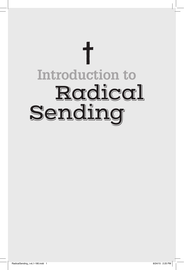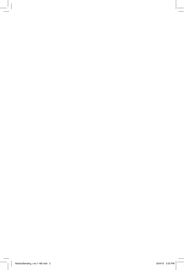$\overline{\phantom{a}}$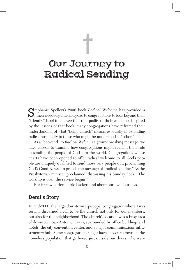# Our Journey to Radical Sending

†

Stephanie Spellers's 2006 book *Radical Welcome* has provided a much-needed guide and goad to congregations to look beyond their "friendly" label to analyze the true quality of their welcome. Inspired by the lessons of that book, many congregations have reframed their understanding of what "being church" means, especially in extending radical hospitality to those who might be understood as "other."

As a "bookend" to *Radical Welcome*'s groundbreaking message, we have chosen to examine how congregations might reclaim their role in sending the people of God into the world. Congregations whose hearts have been opened to offer radical welcome to all God's people are uniquely qualified to send those very people out, proclaiming God's Good News. To preach the message of "radical sending." As the Presbyterian minister proclaimed, dismissing his Sunday flock, "The worship is over, the service begins."

But first, we offer a little background about our own journeys.

## **Demi's Story**

In mid-2000, the large downtown Episcopal congregation where I was serving discerned a call to be the church not only for our members, but also for the neighborhood. The church's location was a busy area of downtown San Antonio, Texas, surrounded by office buildings and hotels, the city convention center, and a major communications infrastructure hub. Some congregations might have chosen to focus on the homeless population that gathered just outside our doors, who were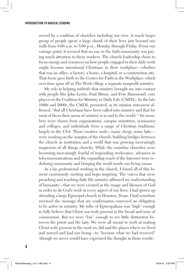served by a coalition of churches including our own. A much larger group of people spent a large chunk of their lives just beyond our walls from 8:00 a.m. to 5:00 p.m., Monday through Friday. From our vantage point, it seemed that no one in the faith community was paying much attention to these workers. The church leadership chose to focus energy and resources on how people engaged in their daily work might become intentional Christians in their workplace—whether that was an office, a factory, a home, a hospital, or a construction site. That focus gave birth to the Center for Faith in the Workplace, which over time spun off as The Work+Shop, a separate nonprofit ministry.

My role in helping midwife that ministry brought me into contact with people like John Lewis, Paul Minus, and Pete Hammond, core players in the Coalition for Ministry in Daily Life (CMDL). In the late 1990s and 2000s, the CMDL promoted, as its mission statement affirmed, "that all Christians have been called into ministry and that for most of them their arena of ministry is in and to the world."1 Its members were drawn from organizations, campus ministries, seminaries and colleges, and individuals from a range of Christian traditions, largely in the USA. Those creative souls—many clergy, some laity were working on the margins of the church, building bridges between the church as institution and a world that was growing increasingly suspicious of all things churchy. While the mainline churches were becoming increasingly fearful of impending irrelevance, advances in telecommunications and the expanding reach of the Internet were redefining community and bringing the world inside our living rooms.

As a lay professional working in the church, I found all of this foment enormously exciting and hope-inspiring. The voices that were preaching and teaching daily life ministry affirmed my understanding of humanity—that we were created as the image and likeness of God in order to do God's work in every aspect of our lives. I had grown up attending a large Episcopal church in Houston, Texas. I had somehow received the message that my confirmation conveyed an obligation to be active in ministry. My tribe of Episcopalians was "high" enough to fully believe that Christ was truly present in the bread and wine of communion. But we were "low" enough to see little distinction between the priest and the laity. We were all meant to work at making Christ truly present in the work we did and the places where we lived and moved and had our being—to "become what we had received" (though we never would have expressed the thought in those words).

**4**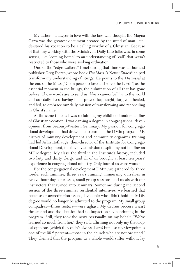My father—a lawyer in love with the law, who thought the Magna Carta was the greatest document created by the mind of man—understood his vocation to be a calling worthy of a Christian. Because of that, my working with the Ministry in Daily Life folks was, in some senses, like "coming home" to an understanding of "call" that wasn't restricted to those who were seeking ordination.

One of the "edge-walkers" I met during that time was author and publisher Greg Pierce, whose book *The Mass Is Never Ended*<sup>2</sup> helped transform my understanding of liturgy. He points to the Dismissal at the end of the Mass ("Go in peace to love and serve the Lord.") as the essential moment in the liturgy, the culmination of all that has gone before. Those words are to send us "like a cannonball" into the world and our daily lives, having been prayed for, taught, forgiven, healed, and fed, to embrace our daily mission of transforming and reconciling in Christ's name.

At the same time as I was reclaiming my childhood understanding of Christian vocation, I was earning a degree in congregational development from Seabury-Western Seminary. My passion for congregational development had drawn me to enroll in the DMin program. My history of ministry development and community organizer training had led Arlin Rothauge, then-director of the Institute for Congregational Development, to okay my admission despite my not holding an MDiv degree. My class, the third in the Institute's history, included two laity and thirty clergy, and all of us brought at least ten years' experience in congregational ministry. Only four of us were women.

For the congregational development DMin, we gathered for three weeks each summer, three years running, immersing ourselves in twelve-hour days of classes, small group sessions, and meals with our instructors that turned into seminars. Sometime during the second session of the three summer residential intensives, we learned that because of accreditation issues, laypeople who didn't hold an MDiv degree would no longer be admitted to the program. My small group compadres—three rectors—were aghast. My degree process wasn't threatened and the decision had no impact on my continuing in the program. Still, they took the news personally, on my behalf. "We've learned so much from her," they said, affirming not only my theological opinions (which they didn't always share) but also my viewpoint as one of the 99.2 percent—those in the church who are not ordained.3 They claimed that the program as a whole would suffer without lay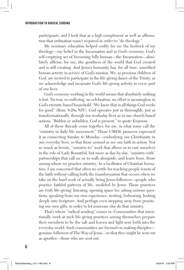participants, and I took that as a high compliment as well as affirmation that ordination wasn't required in order to "do theology."

My seminary education helped codify for me the bedrock of my theology—my belief in the Incarnation and in God's economy. God's self-emptying act of becoming fully human—the Incarnation—absolutely affirms, for me, the goodness of the world that God created and is still creating. And Jesus's humanity has, for all time, sanctified human activity in service of God's mission. We, as precious children of God, are invited to participate in the life-giving dance of the Trinity, as we acknowledge and incarnate God's life-giving activity in every part of our lives.

God's economy working in the world means that absolutely nothing is lost. No tear, no suffering, no celebration, no effort is meaningless in God's eternity-based household. "We know that in all things God works for good" (Rom. 8:28a NIV). God operates just as thoroughly, just as transformationally, through our workaday lives as in our church-based actions. "Bidden or unbidden, God is present," to quote Erasmus.

All of these threads come together, for me, in what some call the "ministry in daily life movement." Those CMDL pioneers expressed it as connecting Sunday to Monday—embodying our Christianity in our everyday lives, so that those around us see our faith in action. Not so much as heroic, "ministry-to" work that allows us to cast ourselves in the role of Lady Bountiful, but more as day-by-day, "ministry-with" partnerships that call on us to walk alongside, and learn from, those among whom we practice ministry. As a facilitator of Christian formation, I am concerned that often we settle for teaching people tenets of the faith without calling forth the transformation that occurs when we take on the hard work of actually being Jesus-followers—people who practice faithful patterns of life, modeled by Jesus. Those practices are truly life-giving: listening, opening space for, asking curious questions, speaking from our own experience, inviting, forbearing, looking deeply into Scripture. And perhaps even stepping away from practicing our own gifts, in order to let someone else do that ministry.

That's where "radical sending" comes in. Communities that intentionally work at such life-giving practices among themselves prepare their members to be the salt and leaven and light sent forth into the everyday world. Such communities are focused on making disciples genuine followers of The Way of Jesus—so that they might be sent out as apostles—those who are sent out.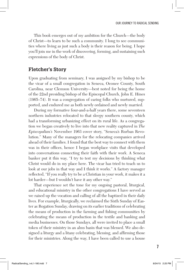This book emerges out of my ambition for the Church—the body of Christ—to learn to be such a community. I long to see communities where living as just such a body is their reason for being. I hope you'll join me in the work of discovering, forming, and sustaining such expressions of the body of Christ.

## **Fletcher's Story**

Upon graduating from seminary, I was assigned by my bishop to be the vicar of a small congregation in Seneca, Oconee County, South Carolina, near Clemson University—best noted for being the home of the 22nd presiding bishop of the Episcopal Church, John E. Hines (1965–74). It was a congregation of caring folks who nurtured, supported, and endured me as both newly ordained and newly married.

During my formative four-and-a-half years there, some seventeen northern industries relocated to that sleepy southern county, which had a transforming urbanizing effect on its rural life. As a congregation we began creatively to live into that new reality captured in *The Episcopalian's* November 1963 cover story, "Seneca's Rurban Revolution." Many of the managers for the relocating companies arrived ahead of their families. I found that the best way to connect with them was in their offices, hence I began workplace visits that developed into conversations connecting their faith with their work. A Seneca banker put it this way, "I try to test my decisions by thinking what Christ would do in my place here. The vicar has tried to teach us to look at our jobs in that way and I think it works." A factory manager reflected, "If you really try to be a Christian in your work, it makes it a lot harder—but I wouldn't have it any other way."

That experience set the tone for my ongoing pastoral, liturgical, and educational ministry in the other congregations I have served as we raised up the vocation and calling of all the baptized in their daily lives. For example, liturgically, we reclaimed the Sixth Sunday of Easter as Rogation Sunday, drawing on its earlier traditions of celebrating the means of production in the farming and fishing communities by celebrating the means of production in the textile and banking and media businesses. On those Sundays, all were invited to place a small token of their ministry in an alms basin that was blessed. We also designed a liturgy and a litany celebrating, blessing, and affirming those for their ministries. Along the way, I have been called to use a house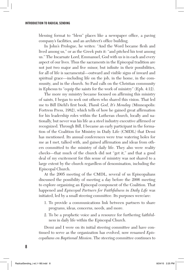blessing format to "bless" places like a newspaper office, a paving company's facilities, and an architect's office building.

In John's Prologue, he writes: "And the Word became flesh and lived among us," or as the Greek puts it: "and pitched his tent among us." The Incarnate Lord, Emmanuel, God with us is in each and every aspect of our lives. Thus the sacraments in the Episcopal tradition are not just two major and five minor, but infinite in their possibilities, for all of life is sacramental—outward and visible signs of inward and spiritual grace—including life on the job, in the home, in the community, and in the church. So Paul calls on the Christian community in Ephesus to "equip the saints for the work of ministry" (Eph. 4:12).

The more my ministry became focused on affirming this ministry of saints, I began to seek out others who shared this vision. That led me to Bill Diehl's first book, *Thank God, It's Monday* (Minneapolis: Fortress Press, 1982), which tells of how he gained great affirmation for his leadership roles within the Lutheran church, locally and nationally, but never was his life as a steel industry executive affirmed or recognized. Through Bill, I became an early participant in the formation of the Coalition for Ministry in Daily Life (CMDL) that Demi has mentioned. Its annual conferences were true watering holes for me as I met, talked with, and gained affirmation and ideas from others committed to the ministry of daily life. They also were reality checks—that much of the church did not "get it," and that a good deal of my excitement for this sense of ministry was not shared to a large extent by the church regardless of denomination, including the Episcopal Church.

At the 2005 meeting of the CMDL, several of us Episcopalians discussed the possibility of meeting a day before the 2006 meeting to explore organizing an Episcopal component of the Coalition. That happened and *Episcopal Partners for Faithfulness in Daily Life* was initiated, led by a small steering committee. Its purposes were/are:

- 1. To provide a communications link between partners to share programs, ideas, concerns, needs, and more.
- 2. To be a prophetic voice and a resource for furthering faithfulness in daily life within the Episcopal Church.

Demi and I were on its initial steering committee and have continued to serve as the organization has evolved, now renamed *Episcopalians on Baptismal Mission*. The steering committee continues to

**8**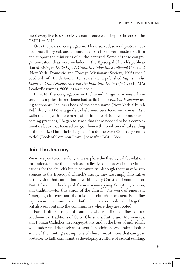meet every five to six weeks via conference call, despite the end of the CMDL in 2011.

Over the years in congregations I have served, several pastoral, educational, liturgical, and communication efforts were made to affirm and support the ministries of all the baptized. Some of those congregation-tested ideas were included in the Episcopal Church's publication *Ministry in Daily Life; A Guide to Living the Baptismal Covenant*  (New York: Domestic and Foreign Missionary Society, 1996) that I coedited with Linda Grenz. Ten years later I published *Baptism: The Event and the Adventure, from the Font into Daily Life* (Leeds, MA: LeaderResources, 2006) as an e-book.

In 2014, the congregation in Richmond, Virginia, where I have served as a priest-in-residence had as its theme *Radical Welcome* using Stephanie Spellers's book of the same name (New York: Church Publishing, 2006) as a guide to help members focus on "come." As I walked along with the congregation in its work to develop more welcoming practices, I began to sense that there needed to be a complementary book that focused on "go," hence this book on radical sending of the baptized into their daily lives "to do the work God has given us to do" (Book of Common Prayer [hereafter BCP], 366).

### **Join the Journey**

We invite you to come along as we explore the theological foundations for understanding the church as "radically sent," as well as the implications for the church's life in community. Although there may be references to the Episcopal Church's liturgy, they are simply illustrative of the vision that can be found within every Christian denomination. Part I lays the theological framework—tapping Scripture, reason, and tradition—for this vision of the church. The work of emergent /emerging churches and the missional church movement is finding expression in communities of faith which are not only called together but also sent out into the communities where they are rooted.

Part II offers a range of examples where radical sending is practiced—in the traditions of Celtic Christians, Lutherans, Mennonites, and Roman Catholics; in congregations; and in the lives of individuals who understand themselves as "sent." In addition, we'll take a look at some of the limiting assumptions of church institutions that can pose obstacles to faith communities developing a culture of radical sending.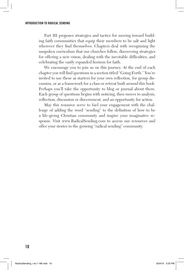Part III proposes strategies and tactics for moving toward building faith communities that equip their members to be salt and light wherever they find themselves. Chapters deal with recognizing the unspoken curriculum that our churches follow, discovering strategies for offering a new vision, dealing with the inevitable difficulties, and celebrating the vastly expanded horizon for faith.

We encourage you to join us on this journey. At the end of each chapter you will find questions in a section titled "Going Forth." You're invited to use these as starters for your own reflection, for group discussion, or as a framework for a class or retreat built around this book. Perhaps you'll take the opportunity to blog or journal about them. Each group of questions begins with noticing, then moves to analysis, reflection, discussion or discernment, and an opportunity for action.

May this resource serve to fuel your engagement with the challenge of adding the word "sending" to the definition of how to be a life-giving Christian community and inspire your imaginative response. Visit www.RadicalSending.com to access our resources and offer your stories to the growing "radical sending" community.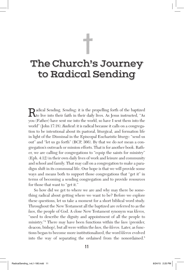# The Church's Journey to Radical Sending

†

Radical Sending. *Sending*: it is the propelling forth of the baptized to live into their faith in their daily lives. As Jesus instructed, "As you (Father) have sent me into the world, so have I sent them into the world" (John 17:18). *Radical*: it is radical because it calls on a congregation to be intentional about its pastoral, liturgical, and formation life in light of the Dismissal in the Episcopal Eucharistic liturgy: "send us out" and "let us go forth" (BCP, 366). By that we do *not* mean a congregation's outreach or mission efforts. That is for another book. Rather, we are calling for congregations to "equip the saints for ministry" (Eph. 4:12) in their own daily lives of work and leisure and community and school and family. That may call on a congregation to make a paradigm shift in its communal life. Our hope is that we will provide some ways and means both to support those congregations that "get it" in terms of becoming a sending congregation and to provide resources for those that want to "get it."

So how did we get to where we are and why may there be something radical about getting where we want to be? Before we explore these questions, let us take a moment for a short biblical word study. Throughout the New Testament all the baptized are referred to as the *laos*, the people of God. A close New Testament synonym was *kleros,*  "used to describe the dignity and appointment of all the people to ministry."4 There may have been functions within the *laos* (presider, deacon, bishop), but all were within the *laos,* the *kleros.* Later, as functions began to become more institutionalized, the word *kleros* evolved into the way of separating the ordained from the nonordained.5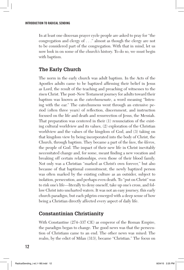In at least one diocesan prayer cycle people are asked to pray for "the congregation and clergy of . . ." almost as though the clergy are not to be considered part of the congregation. With that in mind, let us now look in on some of the church's history. To do so, we must begin with baptism.

# **The Early Church**

The norm in the early church was adult baptism. In the Acts of the Apostles adults came to be baptized affirming their belief in Jesus as Lord, the result of the teaching and preaching of witnesses to the risen Christ. The post–New Testament journey for adults toward their baptism was known as the *catechumenate*, a word meaning "listening with the ear." The catechumens went through an extensive period (often three years) of reflection, discernment, and instruction focused on the life and death and resurrection of Jesus, the Messiah. That preparation was centered in their (1) renunciation of the existing cultural worldview and its values, (2) exploration of the Christian worldview and the values of the kingdom of God, and (3) taking on that kingdom view by being incorporated into the body of Christ, the Church, through baptism. They became a part of the *laos*, the *kleros*, the people of God. The impact of their new life in Christ inevitably necessitated change and, for some, meant finding a new vocation and breaking off certain relationships, even those of their blood family. Not only was a Christian "marked as Christ's own forever," but also because of that baptismal commitment, the newly baptized person was often marked by the existing culture as an outsider, subject to isolation, persecution, and perhaps even death. To "put on Christ" was to risk one's life—literally to deny oneself, take up one's cross, and follow Christ into uncharted waters. It was not an easy journey, this early church paradigm, but each pilgrim emerged with a deep sense of how being a Christian directly affected every aspect of daily life.

# **Constantinian Christianity**

With Constantine (274–337 CE) as emperor of the Roman Empire, the paradigm began to change. The good news was that the persecution of Christians came to an end. The other news was mixed: The realm, by the edict of Milan (313), became "Christian." The focus on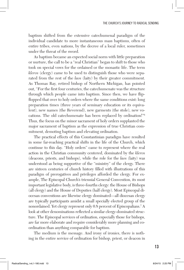baptism shifted from the extensive catechumenal paradigm of the individual candidate to more instantaneous mass baptisms, often of entire tribes, even nations, by the decree of a local ruler, sometimes under the threat of the sword.

As baptism became an expected social norm with little preparation or nurture, the call to be a "real Christian" began to shift to those who took on special vows for the ordained or the monastic life. The term *kleros* (clergy) came to be used to distinguish those who were separated from the rest of the *laos* (laity) by their greater commitment. As Thomas Ray, retired bishop of Northern Michigan, has pointed out, "For the first four centuries, the catechumenate was the structure through which people came into baptism. Since then, we have flipflopped that over to holy orders where the same conditions exist: long preparation times (three years of seminary education or its equivalent), new names (the Reverend), new garments (the stole), new vocations. The old catechumenate has been replaced by ordination!"6 Thus, the focus on the minor sacrament of holy orders supplanted the major sacrament of baptism as the expression of true Christian commitment, demoting baptism and elevating ordination.

The practical effects of this Constantinian paradigm have resulted in some far-reaching practical shifts in the life of the Church, which continue to this day. "Holy orders" came to represent where the real action in the Christian community centered, dominated by the *kleros*  (deacons, priests, and bishops), while the role for the *laos* (laity) was understood as being supportive of the "ministry" of the clergy. There are sixteen centuries of church history filled with illustrations of this paradigm of prerogatives and privileges afforded the clergy. For example, The Episcopal Church's triennial General Convention, its most important legislative body, is three-fourths clergy: the House of Bishops (all clergy) and the House of Deputies (half clergy). Most Episcopal diocesan conventions are likewise clergy dominated—all diocesan clergy are typically participants amidst a small specially elected group of the nonordained. Yet clergy represent only 0.8 percent of Episcopalians.7 A look at other denominations reflected a similar clergy-dominated structure. The Episcopal services of ordination, especially those for bishops, are far more elaborate and require considerably more planning and coordination than anything comparable for baptism.

The medium is the message. And irony of ironies, there is nothing in the entire service of ordination for bishop, priest, or deacon in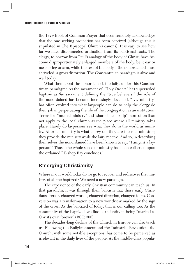the 1979 Book of Common Prayer that even remotely acknowledges that the one seeking ordination has been baptized (although this is stipulated in The Episcopal Church's canons). It is easy to see how far we have disconnected ordination from its baptismal roots. The clergy, to borrow from Paul's analogy of the body of Christ, have become disproportionately enlarged members of the body, be it ear or nose or leg or arm, while the rest of the body—the nonordained—are shriveled: a gross distortion. The Constantinian paradigm is alive and well today.

What then about the nonordained, the laity, under this Constantinian paradigm? As the sacrament of "Holy Orders" has superseded baptism as *the* sacrament defining the "true believers," the role of the nonordained has become increasingly devalued. "Lay ministry" has often evolved into what laypeople can do to help the clergy do their job in perpetuating the life of the congregation as an institution. Terms like "mutual ministry" and "shared leadership" more often than not apply to the local church as the place where all ministry takes place. Rarely do laypersons see what they do in the world as ministry. After all, ministry is what clergy do; they are the real ministers; they provide the ministry while the laity receive. And so, in describing themselves the nonordained have been known to say, "I am *just* a layperson!" Thus, "the whole sense of ministry has been collapsed upon the ordained," Bishop Ray concludes.<sup>8</sup>

## **Emerging Christianity**

Where in our world today do we go to recover and rediscover the ministry of all the baptized? We need a new paradigm.

The experience of the early Christian community can teach us. In that paradigm, it was through their baptism that those early Christians literally changed worlds, changed direction, changed focus. Conversion was a transformation to a new worldview marked by the sign of the cross. As the baptized of today, that is our calling too. As the community of the baptized, we find our identity in being "marked as Christ's own forever" (BCP, 308).

The decades-long decline of the Church in Europe can also teach us. Following the Enlightenment and the Industrial Revolution, the Church, with some notable exceptions, has come to be perceived as irrelevant in the daily lives of the people. As the middle-class popula-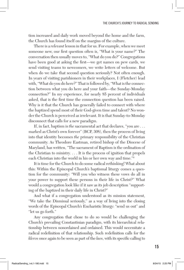tion increased and daily work moved beyond the home and the farm, the Church has found itself on the margins of the culture.

There is a *relevant* lesson in that for us. For example, when we meet someone new, our first question often is, "What is your name?" The conversation then usually moves to, "What do you do?" Congregations have been good at asking the first—we get names on pew cards, we send visiting teams to newcomers, we write letters of welcome. But when do we take that second question seriously? Not often enough. In years of visiting parishioners in their workplaces, I (Fletcher) lead with, "What do you do here?" That is followed by, "What is the connection between what you do here and your faith—the Sunday-Monday connection?" In my experience, for nearly 85 percent of individuals asked, that is the first time the connection question has been raised. Why is it that the Church has generally failed to connect with where the baptized spend most of their God-given time and talent? No wonder the Church is perceived as irrelevant. It is that Sunday-to-Monday disconnect that calls for a new paradigm.

If, in fact, baptism is *the* sacramental act that declares, "you are . . . marked as Christ's own forever" (BCP, 308), then the process of living into that identity becomes *the* primary responsibility of the Christian community. As Theodore Eastman, retired bishop of the Diocese of Maryland, has written, "The sacrament of Baptism is the ordination of the Christian to ministry. . . . It is the process of ignition that propels each Christian into the world in his or her own way and time."9

It is time for the Church to do some radical rethinking! What about this: Within the Episcopal Church's baptismal liturgy comes a question for the community: *"*Will you who witness these vows do all in your power to support these persons in their life in Christ?" What would a congregation look like if it saw as its job description "supporting of the baptized in their daily life in Christ?"

And what if a congregation understood as its mission statement, "We take the Dismissal seriously," as a way of living into the closing words of the Episcopal Church's Eucharistic liturgy: "send us out" and "let us go forth."

Any congregation that chose to do so would be challenging the Church's prevailing Constantinian paradigm, with its hierarchical relationship between nonordained and ordained. This would necessitate a radical redefinition of that relationship. Such redefinition calls for the *kleros* once again to be seen as part of the *laos*, with its specific calling to